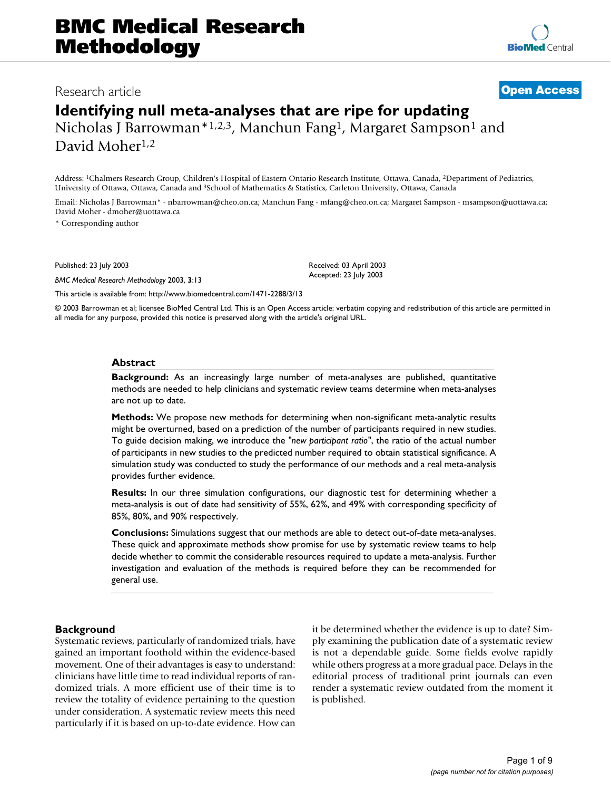# **BMC Medical Research Methodology**

# Research article **[Open Access](http://www.biomedcentral.com/info/about/charter/)**

Address: 1Chalmers Research Group, Children's Hospital of Eastern Ontario Research Institute, Ottawa, Canada, 2Department of Pediatrics, University of Ottawa, Ottawa, Canada and 3School of Mathematics & Statistics, Carleton University, Ottawa, Canada

Email: Nicholas J Barrowman\* - nbarrowman@cheo.on.ca; Manchun Fang - mfang@cheo.on.ca; Margaret Sampson - msampson@uottawa.ca; David Moher - dmoher@uottawa.ca

\* Corresponding author

Published: 23 July 2003

*BMC Medical Research Methodology* 2003, **3**:13

Received: 03 April 2003 Accepted: 23 July 2003

[This article is available from: http://www.biomedcentral.com/1471-2288/3/13](http://www.biomedcentral.com/1471-2288/3/13)

© 2003 Barrowman et al; licensee BioMed Central Ltd. This is an Open Access article: verbatim copying and redistribution of this article are permitted in all media for any purpose, provided this notice is preserved along with the article's original URL.

#### **Abstract**

**Background:** As an increasingly large number of meta-analyses are published, quantitative methods are needed to help clinicians and systematic review teams determine when meta-analyses are not up to date.

**Methods:** We propose new methods for determining when non-significant meta-analytic results might be overturned, based on a prediction of the number of participants required in new studies. To guide decision making, we introduce the *"new participant ratio"*, the ratio of the actual number of participants in new studies to the predicted number required to obtain statistical significance. A simulation study was conducted to study the performance of our methods and a real meta-analysis provides further evidence.

**Results:** In our three simulation configurations, our diagnostic test for determining whether a meta-analysis is out of date had sensitivity of 55%, 62%, and 49% with corresponding specificity of 85%, 80%, and 90% respectively.

**Conclusions:** Simulations suggest that our methods are able to detect out-of-date meta-analyses. These quick and approximate methods show promise for use by systematic review teams to help decide whether to commit the considerable resources required to update a meta-analysis. Further investigation and evaluation of the methods is required before they can be recommended for general use.

#### **Background**

Systematic reviews, particularly of randomized trials, have gained an important foothold within the evidence-based movement. One of their advantages is easy to understand: clinicians have little time to read individual reports of randomized trials. A more efficient use of their time is to review the totality of evidence pertaining to the question under consideration. A systematic review meets this need particularly if it is based on up-to-date evidence. How can it be determined whether the evidence is up to date? Simply examining the publication date of a systematic review is not a dependable guide. Some fields evolve rapidly while others progress at a more gradual pace. Delays in the editorial process of traditional print journals can even render a systematic review outdated from the moment it is published.

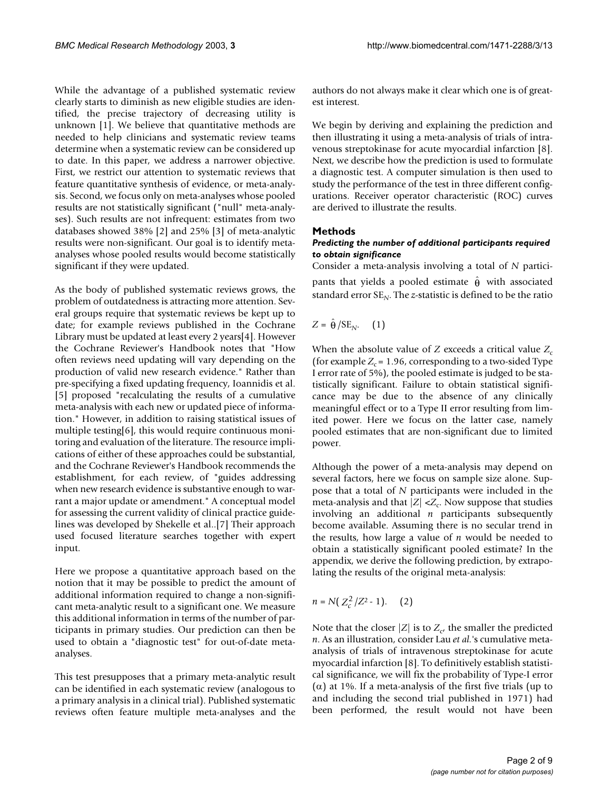While the advantage of a published systematic review clearly starts to diminish as new eligible studies are identified, the precise trajectory of decreasing utility is unknown [1]. We believe that quantitative methods are needed to help clinicians and systematic review teams determine when a systematic review can be considered up to date. In this paper, we address a narrower objective. First, we restrict our attention to systematic reviews that feature quantitative synthesis of evidence, or meta-analysis. Second, we focus only on meta-analyses whose pooled results are not statistically significant ("null" meta-analyses). Such results are not infrequent: estimates from two databases showed 38% [2] and 25% [3] of meta-analytic results were non-significant. Our goal is to identify metaanalyses whose pooled results would become statistically significant if they were updated.

As the body of published systematic reviews grows, the problem of outdatedness is attracting more attention. Several groups require that systematic reviews be kept up to date; for example reviews published in the Cochrane Library must be updated at least every 2 years[4]. However the Cochrane Reviewer's Handbook notes that "How often reviews need updating will vary depending on the production of valid new research evidence." Rather than pre-specifying a fixed updating frequency, Ioannidis et al. [5] proposed "recalculating the results of a cumulative meta-analysis with each new or updated piece of information." However, in addition to raising statistical issues of multiple testing[6], this would require continuous monitoring and evaluation of the literature. The resource implications of either of these approaches could be substantial, and the Cochrane Reviewer's Handbook recommends the establishment, for each review, of "guides addressing when new research evidence is substantive enough to warrant a major update or amendment." A conceptual model for assessing the current validity of clinical practice guidelines was developed by Shekelle et al..[7] Their approach used focused literature searches together with expert input.

Here we propose a quantitative approach based on the notion that it may be possible to predict the amount of additional information required to change a non-significant meta-analytic result to a significant one. We measure this additional information in terms of the number of participants in primary studies. Our prediction can then be used to obtain a "diagnostic test" for out-of-date metaanalyses.

This test presupposes that a primary meta-analytic result can be identified in each systematic review (analogous to a primary analysis in a clinical trial). Published systematic reviews often feature multiple meta-analyses and the authors do not always make it clear which one is of greatest interest.

We begin by deriving and explaining the prediction and then illustrating it using a meta-analysis of trials of intravenous streptokinase for acute myocardial infarction [8]. Next, we describe how the prediction is used to formulate a diagnostic test. A computer simulation is then used to study the performance of the test in three different configurations. Receiver operator characteristic (ROC) curves are derived to illustrate the results.

#### **Methods**

#### *Predicting the number of additional participants required to obtain significance*

Consider a meta-analysis involving a total of *N* participants that yields a pooled estimate  $\hat{\theta}$  with associated standard error  $SE_N$ . The *z*-statistic is defined to be the ratio

$$
Z = \hat{\theta}/\text{SE}_{N}.\quad (1)
$$

When the absolute value of *Z* exceeds a critical value  $Z_c$ (for example  $Z_c = 1.96$ , corresponding to a two-sided Type I error rate of 5%), the pooled estimate is judged to be statistically significant. Failure to obtain statistical significance may be due to the absence of any clinically meaningful effect or to a Type II error resulting from limited power. Here we focus on the latter case, namely pooled estimates that are non-significant due to limited power.

Although the power of a meta-analysis may depend on several factors, here we focus on sample size alone. Suppose that a total of *N* participants were included in the meta-analysis and that  $|Z| \ll Z_c$ . Now suppose that studies involving an additional *n* participants subsequently become available. Assuming there is no secular trend in the results, how large a value of *n* would be needed to obtain a statistically significant pooled estimate? In the appendix, we derive the following prediction, by extrapolating the results of the original meta-analysis:

$$
n = N\left(\, Z_c^2 \, / Z^2 - 1\right). \qquad \text{(2)}
$$

Note that the closer  $|Z|$  is to  $Z_c$ , the smaller the predicted *n*. As an illustration, consider Lau *et al.*'s cumulative metaanalysis of trials of intravenous streptokinase for acute myocardial infarction [8]. To definitively establish statistical significance, we will fix the probability of Type-I error (α) at 1%. If a meta-analysis of the first five trials (up to and including the second trial published in 1971) had been performed, the result would not have been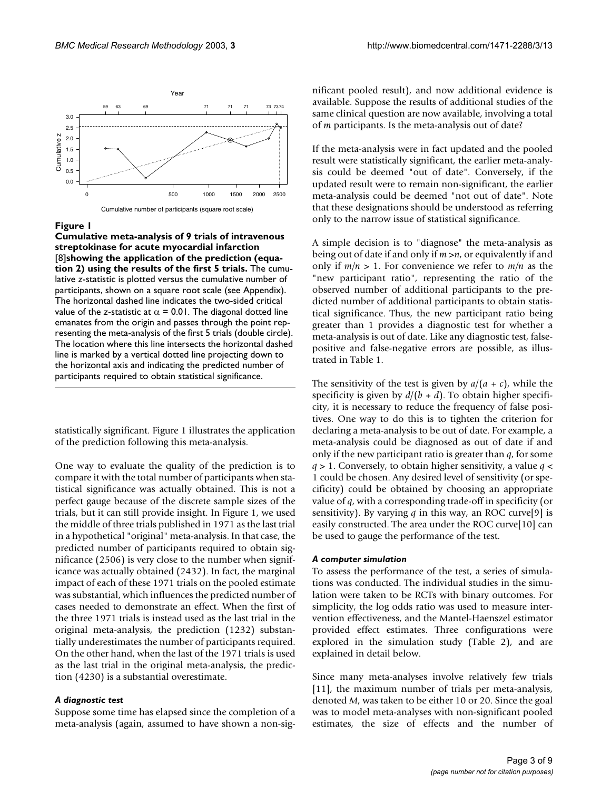

#### Figure 1

**Cumulative meta-analysis of 9 trials of intravenous streptokinase for acute myocardial infarction**  [8]**showing the application of the prediction (equation 2) using the results of the first 5 trials.** The cumulative *z*-statistic is plotted versus the cumulative number of participants, shown on a square root scale (see Appendix). The horizontal dashed line indicates the two-sided critical value of the *z*-statistic at  $\alpha$  = 0.01. The diagonal dotted line emanates from the origin and passes through the point representing the meta-analysis of the first 5 trials (double circle). The location where this line intersects the horizontal dashed line is marked by a vertical dotted line projecting down to the horizontal axis and indicating the predicted number of participants required to obtain statistical significance.

statistically significant. Figure 1 illustrates the application of the prediction following this meta-analysis.

One way to evaluate the quality of the prediction is to compare it with the total number of participants when statistical significance was actually obtained. This is not a perfect gauge because of the discrete sample sizes of the trials, but it can still provide insight. In Figure 1, we used the middle of three trials published in 1971 as the last trial in a hypothetical "original" meta-analysis. In that case, the predicted number of participants required to obtain significance (2506) is very close to the number when significance was actually obtained (2432). In fact, the marginal impact of each of these 1971 trials on the pooled estimate was substantial, which influences the predicted number of cases needed to demonstrate an effect. When the first of the three 1971 trials is instead used as the last trial in the original meta-analysis, the prediction (1232) substantially underestimates the number of participants required. On the other hand, when the last of the 1971 trials is used as the last trial in the original meta-analysis, the prediction (4230) is a substantial overestimate.

#### *A diagnostic test*

Suppose some time has elapsed since the completion of a meta-analysis (again, assumed to have shown a non-significant pooled result), and now additional evidence is available. Suppose the results of additional studies of the same clinical question are now available, involving a total of *m* participants. Is the meta-analysis out of date?

If the meta-analysis were in fact updated and the pooled result were statistically significant, the earlier meta-analysis could be deemed "out of date". Conversely, if the updated result were to remain non-significant, the earlier meta-analysis could be deemed "not out of date". Note that these designations should be understood as referring only to the narrow issue of statistical significance.

A simple decision is to "diagnose" the meta-analysis as being out of date if and only if *m* >*n*, or equivalently if and only if *m/n* > 1. For convenience we refer to *m/n* as the "new participant ratio", representing the ratio of the observed number of additional participants to the predicted number of additional participants to obtain statistical significance. Thus, the new participant ratio being greater than 1 provides a diagnostic test for whether a meta-analysis is out of date. Like any diagnostic test, falsepositive and false-negative errors are possible, as illustrated in Table [1.](#page-3-0)

The sensitivity of the test is given by  $a/(a + c)$ , while the specificity is given by  $d/(b + d)$ . To obtain higher specificity, it is necessary to reduce the frequency of false positives. One way to do this is to tighten the criterion for declaring a meta-analysis to be out of date. For example, a meta-analysis could be diagnosed as out of date if and only if the new participant ratio is greater than *q*, for some *q* > 1. Conversely, to obtain higher sensitivity, a value *q* < 1 could be chosen. Any desired level of sensitivity (or specificity) could be obtained by choosing an appropriate value of *q*, with a corresponding trade-off in specificity (or sensitivity). By varying *q* in this way, an ROC curve[9] is easily constructed. The area under the ROC curve[10] can be used to gauge the performance of the test.

#### *A computer simulation*

To assess the performance of the test, a series of simulations was conducted. The individual studies in the simulation were taken to be RCTs with binary outcomes. For simplicity, the log odds ratio was used to measure intervention effectiveness, and the Mantel-Haenszel estimator provided effect estimates. Three configurations were explored in the simulation study (Table [2](#page-3-1)), and are explained in detail below.

Since many meta-analyses involve relatively few trials [11], the maximum number of trials per meta-analysis, denoted *M*, was taken to be either 10 or 20. Since the goal was to model meta-analyses with non-significant pooled estimates, the size of effects and the number of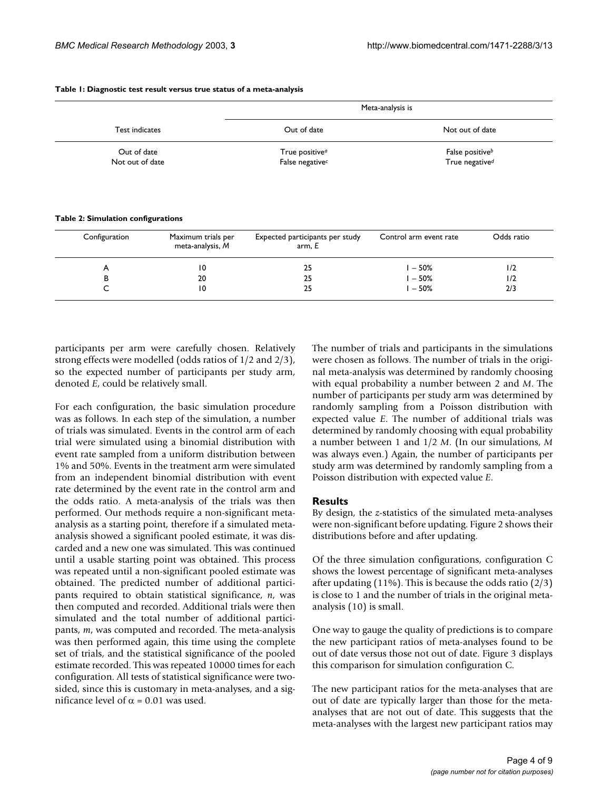| Test indicates  | Meta-analysis is                                          |                 |  |
|-----------------|-----------------------------------------------------------|-----------------|--|
|                 | Out of date                                               | Not out of date |  |
| Out of date     | False positive <sup>b</sup><br>True positive <sup>a</sup> |                 |  |
| Not out of date | True negative <sup>d</sup><br>False negative <sup>c</sup> |                 |  |

#### <span id="page-3-0"></span>**Table 1: Diagnostic test result versus true status of a meta-analysis**

<span id="page-3-1"></span>**Table 2: Simulation configurations**

| Configuration | Maximum trials per<br>meta-analysis, M | Expected participants per study<br>arm, E | Control arm event rate | Odds ratio |
|---------------|----------------------------------------|-------------------------------------------|------------------------|------------|
| A             | 10                                     | 25                                        | $-50%$                 | 1/2        |
| в             | 20                                     | 25                                        | $-50%$                 | 1/2        |
|               | 10                                     | 25                                        | $-50%$                 | 2/3        |
|               |                                        |                                           |                        |            |

participants per arm were carefully chosen. Relatively strong effects were modelled (odds ratios of 1/2 and 2/3), so the expected number of participants per study arm, denoted *E*, could be relatively small.

For each configuration, the basic simulation procedure was as follows. In each step of the simulation, a number of trials was simulated. Events in the control arm of each trial were simulated using a binomial distribution with event rate sampled from a uniform distribution between 1% and 50%. Events in the treatment arm were simulated from an independent binomial distribution with event rate determined by the event rate in the control arm and the odds ratio. A meta-analysis of the trials was then performed. Our methods require a non-significant metaanalysis as a starting point, therefore if a simulated metaanalysis showed a significant pooled estimate, it was discarded and a new one was simulated. This was continued until a usable starting point was obtained. This process was repeated until a non-significant pooled estimate was obtained. The predicted number of additional participants required to obtain statistical significance, *n*, was then computed and recorded. Additional trials were then simulated and the total number of additional participants, *m*, was computed and recorded. The meta-analysis was then performed again, this time using the complete set of trials, and the statistical significance of the pooled estimate recorded. This was repeated 10000 times for each configuration. All tests of statistical significance were twosided, since this is customary in meta-analyses, and a significance level of  $\alpha$  = 0.01 was used.

The number of trials and participants in the simulations were chosen as follows. The number of trials in the original meta-analysis was determined by randomly choosing with equal probability a number between 2 and *M*. The number of participants per study arm was determined by randomly sampling from a Poisson distribution with expected value *E*. The number of additional trials was determined by randomly choosing with equal probability a number between 1 and 1/2 *M*. (In our simulations, *M* was always even.) Again, the number of participants per study arm was determined by randomly sampling from a Poisson distribution with expected value *E*.

#### **Results**

By design, the *z*-statistics of the simulated meta-analyses were non-significant before updating. Figure 2 shows their distributions before and after updating.

Of the three simulation configurations, configuration C shows the lowest percentage of significant meta-analyses after updating  $(11\%)$ . This is because the odds ratio  $(2/3)$ is close to 1 and the number of trials in the original metaanalysis (10) is small.

One way to gauge the quality of predictions is to compare the new participant ratios of meta-analyses found to be out of date versus those not out of date. Figure [3](#page-4-0) displays this comparison for simulation configuration C.

The new participant ratios for the meta-analyses that are out of date are typically larger than those for the metaanalyses that are not out of date. This suggests that the meta-analyses with the largest new participant ratios may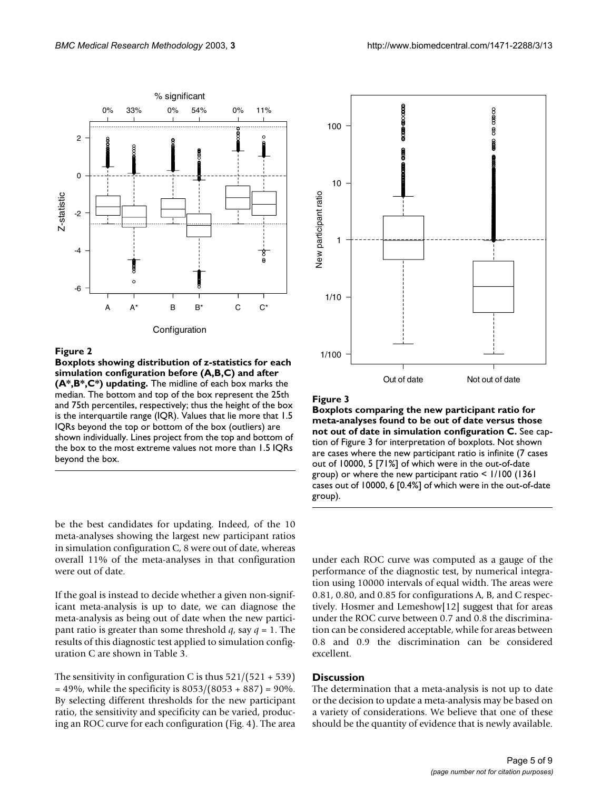

#### Figure 2

**Boxplots showing distribution of z-statistics for each simulation configuration before (A,B,C) and after (A\*,B\*,C\*) updating.** The midline of each box marks the median. The bottom and top of the box represent the 25th and 75th percentiles, respectively; thus the height of the box is the interquartile range (IQR). Values that lie more that 1.5 IQRs beyond the top or bottom of the box (outliers) are shown individually. Lines project from the top and bottom of the box to the most extreme values not more than 1.5 IQRs beyond the box.

be the best candidates for updating. Indeed, of the 10 meta-analyses showing the largest new participant ratios in simulation configuration C, 8 were out of date, whereas overall 11% of the meta-analyses in that configuration were out of date.

If the goal is instead to decide whether a given non-significant meta-analysis is up to date, we can diagnose the meta-analysis as being out of date when the new participant ratio is greater than some threshold *q*, say *q* = 1. The results of this diagnostic test applied to simulation configuration C are shown in Table [3.](#page-5-0)

The sensitivity in configuration C is thus  $521/(521 + 539)$  $= 49\%$ , while the specificity is  $8053/(8053 + 887) = 90\%$ . By selecting different thresholds for the new participant ratio, the sensitivity and specificity can be varied, producing an ROC curve for each configuration (Fig. [4](#page-5-1)). The area

<span id="page-4-0"></span>

#### Figure 3

**Boxplots comparing the new participant ratio for meta-analyses found to be out of date versus those not out of date in simulation configuration C.** See caption of Figure [3](#page-4-0) for interpretation of boxplots. Not shown are cases where the new participant ratio is infinite (7 cases out of 10000, 5 [71%] of which were in the out-of-date group) or where the new participant ratio < 1/100 (1361 cases out of 10000, 6 [0.4%] of which were in the out-of-date group).

under each ROC curve was computed as a gauge of the performance of the diagnostic test, by numerical integration using 10000 intervals of equal width. The areas were 0.81, 0.80, and 0.85 for configurations A, B, and C respectively. Hosmer and Lemeshow[12] suggest that for areas under the ROC curve between 0.7 and 0.8 the discrimination can be considered acceptable, while for areas between 0.8 and 0.9 the discrimination can be considered excellent.

# **Discussion**

The determination that a meta-analysis is not up to date or the decision to update a meta-analysis may be based on a variety of considerations. We believe that one of these should be the quantity of evidence that is newly available.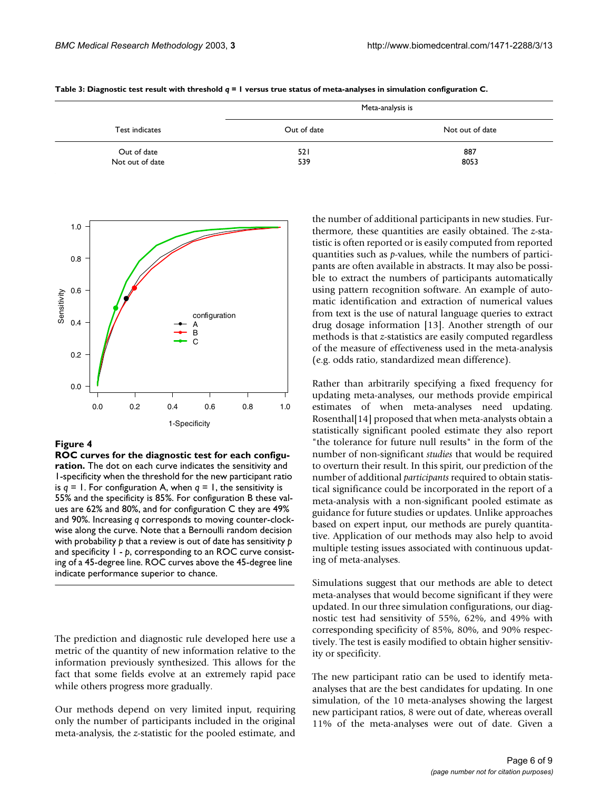| Test indicates                 | Meta-analysis is |                 |  |
|--------------------------------|------------------|-----------------|--|
|                                | Out of date      | Not out of date |  |
| Out of date<br>Not out of date | 521<br>539       | 887<br>8053     |  |

<span id="page-5-0"></span>**Table 3: Diagnostic test result with threshold** *q* **= 1 versus true status of meta-analyses in simulation configuration C.**

<span id="page-5-1"></span>

#### **Figure 4**

**ROC curves for the diagnostic test for each configuration.** The dot on each curve indicates the sensitivity and 1-specificity when the threshold for the new participant ratio is  $q = 1$ . For configuration A, when  $q = 1$ , the sensitivity is 55% and the specificity is 85%. For configuration B these values are 62% and 80%, and for configuration C they are 49% and 90%. Increasing *q* corresponds to moving counter-clockwise along the curve. Note that a Bernoulli random decision with probability *p* that a review is out of date has sensitivity *p*  and specificity 1 - *p*, corresponding to an ROC curve consisting of a 45-degree line. ROC curves above the 45-degree line indicate performance superior to chance.

The prediction and diagnostic rule developed here use a metric of the quantity of new information relative to the information previously synthesized. This allows for the fact that some fields evolve at an extremely rapid pace while others progress more gradually.

Our methods depend on very limited input, requiring only the number of participants included in the original meta-analysis, the *z*-statistic for the pooled estimate, and

the number of additional participants in new studies. Furthermore, these quantities are easily obtained. The *z*-statistic is often reported or is easily computed from reported quantities such as *p*-values, while the numbers of participants are often available in abstracts. It may also be possible to extract the numbers of participants automatically using pattern recognition software. An example of automatic identification and extraction of numerical values from text is the use of natural language queries to extract drug dosage information [13]. Another strength of our methods is that *z*-statistics are easily computed regardless of the measure of effectiveness used in the meta-analysis (e.g. odds ratio, standardized mean difference).

Rather than arbitrarily specifying a fixed frequency for updating meta-analyses, our methods provide empirical estimates of when meta-analyses need updating. Rosenthal[14] proposed that when meta-analysts obtain a statistically significant pooled estimate they also report "the tolerance for future null results" in the form of the number of non-significant *studies* that would be required to overturn their result. In this spirit, our prediction of the number of additional *participants* required to obtain statistical significance could be incorporated in the report of a meta-analysis with a non-significant pooled estimate as guidance for future studies or updates. Unlike approaches based on expert input, our methods are purely quantitative. Application of our methods may also help to avoid multiple testing issues associated with continuous updating of meta-analyses.

Simulations suggest that our methods are able to detect meta-analyses that would become significant if they were updated. In our three simulation configurations, our diagnostic test had sensitivity of 55%, 62%, and 49% with corresponding specificity of 85%, 80%, and 90% respectively. The test is easily modified to obtain higher sensitivity or specificity.

The new participant ratio can be used to identify metaanalyses that are the best candidates for updating. In one simulation, of the 10 meta-analyses showing the largest new participant ratios, 8 were out of date, whereas overall 11% of the meta-analyses were out of date. Given a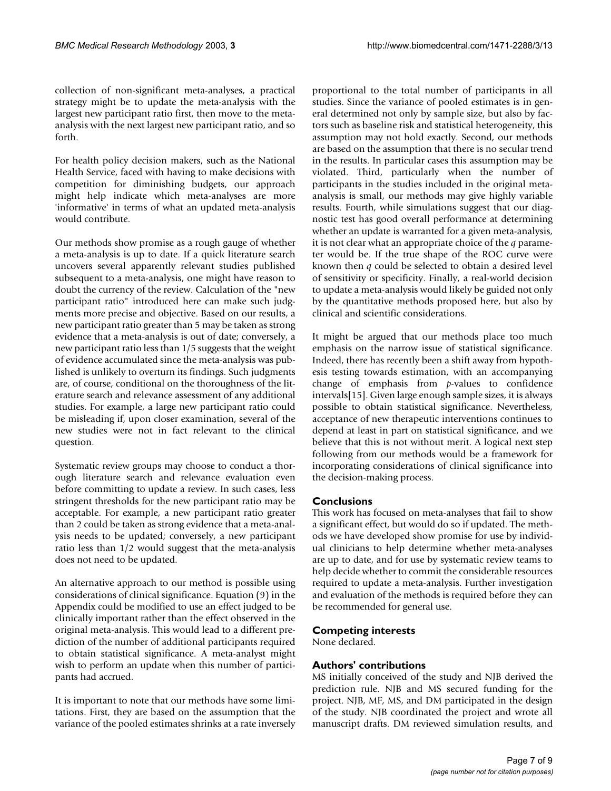collection of non-significant meta-analyses, a practical strategy might be to update the meta-analysis with the largest new participant ratio first, then move to the metaanalysis with the next largest new participant ratio, and so forth.

For health policy decision makers, such as the National Health Service, faced with having to make decisions with competition for diminishing budgets, our approach might help indicate which meta-analyses are more 'informative' in terms of what an updated meta-analysis would contribute.

Our methods show promise as a rough gauge of whether a meta-analysis is up to date. If a quick literature search uncovers several apparently relevant studies published subsequent to a meta-analysis, one might have reason to doubt the currency of the review. Calculation of the "new participant ratio" introduced here can make such judgments more precise and objective. Based on our results, a new participant ratio greater than 5 may be taken as strong evidence that a meta-analysis is out of date; conversely, a new participant ratio less than 1/5 suggests that the weight of evidence accumulated since the meta-analysis was published is unlikely to overturn its findings. Such judgments are, of course, conditional on the thoroughness of the literature search and relevance assessment of any additional studies. For example, a large new participant ratio could be misleading if, upon closer examination, several of the new studies were not in fact relevant to the clinical question.

Systematic review groups may choose to conduct a thorough literature search and relevance evaluation even before committing to update a review. In such cases, less stringent thresholds for the new participant ratio may be acceptable. For example, a new participant ratio greater than 2 could be taken as strong evidence that a meta-analysis needs to be updated; conversely, a new participant ratio less than 1/2 would suggest that the meta-analysis does not need to be updated.

An alternative approach to our method is possible using considerations of clinical significance. Equation (9) in the Appendix could be modified to use an effect judged to be clinically important rather than the effect observed in the original meta-analysis. This would lead to a different prediction of the number of additional participants required to obtain statistical significance. A meta-analyst might wish to perform an update when this number of participants had accrued.

It is important to note that our methods have some limitations. First, they are based on the assumption that the variance of the pooled estimates shrinks at a rate inversely proportional to the total number of participants in all studies. Since the variance of pooled estimates is in general determined not only by sample size, but also by factors such as baseline risk and statistical heterogeneity, this assumption may not hold exactly. Second, our methods are based on the assumption that there is no secular trend in the results. In particular cases this assumption may be violated. Third, particularly when the number of participants in the studies included in the original metaanalysis is small, our methods may give highly variable results. Fourth, while simulations suggest that our diagnostic test has good overall performance at determining whether an update is warranted for a given meta-analysis, it is not clear what an appropriate choice of the *q* parameter would be. If the true shape of the ROC curve were known then *q* could be selected to obtain a desired level of sensitivity or specificity. Finally, a real-world decision to update a meta-analysis would likely be guided not only by the quantitative methods proposed here, but also by clinical and scientific considerations.

It might be argued that our methods place too much emphasis on the narrow issue of statistical significance. Indeed, there has recently been a shift away from hypothesis testing towards estimation, with an accompanying change of emphasis from *p*-values to confidence intervals[15]. Given large enough sample sizes, it is always possible to obtain statistical significance. Nevertheless, acceptance of new therapeutic interventions continues to depend at least in part on statistical significance, and we believe that this is not without merit. A logical next step following from our methods would be a framework for incorporating considerations of clinical significance into the decision-making process.

# **Conclusions**

This work has focused on meta-analyses that fail to show a significant effect, but would do so if updated. The methods we have developed show promise for use by individual clinicians to help determine whether meta-analyses are up to date, and for use by systematic review teams to help decide whether to commit the considerable resources required to update a meta-analysis. Further investigation and evaluation of the methods is required before they can be recommended for general use.

# **Competing interests**

None declared.

# **Authors' contributions**

MS initially conceived of the study and NJB derived the prediction rule. NJB and MS secured funding for the project. NJB, MF, MS, and DM participated in the design of the study. NJB coordinated the project and wrote all manuscript drafts. DM reviewed simulation results, and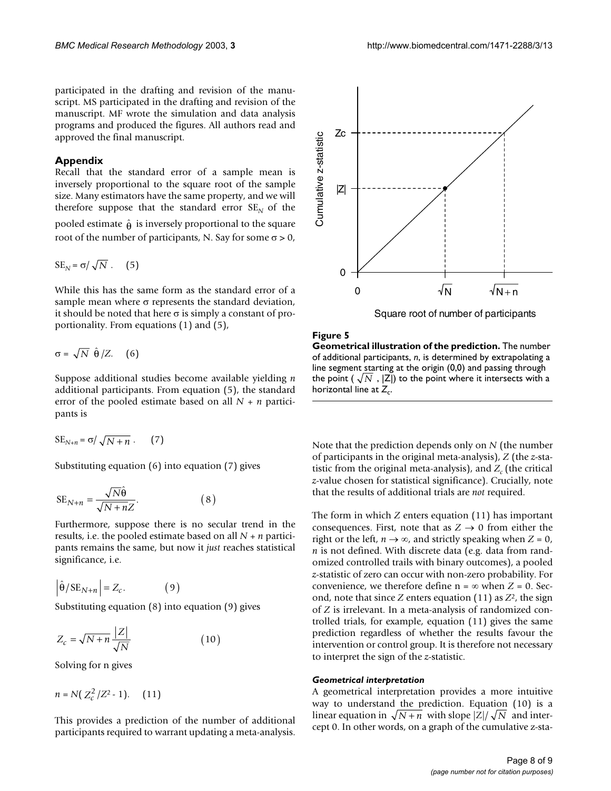participated in the drafting and revision of the manuscript. MS participated in the drafting and revision of the manuscript. MF wrote the simulation and data analysis programs and produced the figures. All authors read and approved the final manuscript.

#### **Appendix**

Recall that the standard error of a sample mean is inversely proportional to the square root of the sample size. Many estimators have the same property, and we will therefore suppose that the standard error  $SE<sub>N</sub>$  of the

pooled estimate  $\hat{\theta}$  is inversely proportional to the square root of the number of participants, N. Say for some  $\sigma > 0$ ,

$$
SE_N = \sigma / \sqrt{N} . \quad (5)
$$

While this has the same form as the standard error of a sample mean where  $\sigma$  represents the standard deviation, it should be noted that here  $\sigma$  is simply a constant of proportionality. From equations (1) and (5),

$$
\sigma = \sqrt{N} \hat{\theta}/Z. \quad (6)
$$

Suppose additional studies become available yielding *n* additional participants. From equation (5), the standard error of the pooled estimate based on all *N* + *n* participants is

$$
SE_{N+n} = \sigma / \sqrt{N+n} \ . \qquad (7)
$$

Substituting equation (6) into equation (7) gives

$$
SE_{N+n} = \frac{\sqrt{N}\hat{\theta}}{\sqrt{N+nZ}}.\tag{8}
$$

Furthermore, suppose there is no secular trend in the results, i.e. the pooled estimate based on all *N* + *n* participants remains the same, but now it *just* reaches statistical significance, i.e.

$$
\left|\hat{\Theta}/\mathrm{SE}_{N+n}\right| = Z_c.
$$
 (9)

Substituting equation (8) into equation (9) gives

$$
Z_c = \sqrt{N+n} \frac{|Z|}{\sqrt{N}} \tag{10}
$$

Solving for n gives

$$
n = N\left(\frac{Z_c^2}{Z_c^2} - 1\right). \quad (11)
$$

This provides a prediction of the number of additional participants required to warrant updating a meta-analysis.



Square root of number of participants

### Figure 5

**Geometrical illustration of the prediction.** The number of additional participants, *n*, is determined by extrapolating a line segment starting at the origin (0,0) and passing through the point (  $\sqrt{N}$  ,  $|{\sf Z}|$ ) to the point where it intersects with a horizontal line at  $Z_c$ .

Note that the prediction depends only on *N* (the number of participants in the original meta-analysis), *Z* (the *z*-statistic from the original meta-analysis), and  $Z_c$  (the critical *z*-value chosen for statistical significance). Crucially, note that the results of additional trials are *not* required.

The form in which *Z* enters equation (11) has important consequences. First, note that as  $Z \rightarrow 0$  from either the right or the left,  $n \rightarrow \infty$ , and strictly speaking when  $Z = 0$ , *n* is not defined. With discrete data (e.g. data from randomized controlled trails with binary outcomes), a pooled *z*-statistic of zero can occur with non-zero probability. For convenience, we therefore define  $n = \infty$  when  $Z = 0$ . Second, note that since *Z* enters equation (11) as *Z*2, the sign of *Z* is irrelevant. In a meta-analysis of randomized controlled trials, for example, equation (11) gives the same prediction regardless of whether the results favour the intervention or control group. It is therefore not necessary to interpret the sign of the *z*-statistic.

#### *Geometrical interpretation*

A geometrical interpretation provides a more intuitive way to understand the prediction. Equation (10) is a linear equation in  $\sqrt{N+n}$  with slope  $|Z|/\sqrt{N}$  and intercept 0. In other words, on a graph of the cumulative z-sta